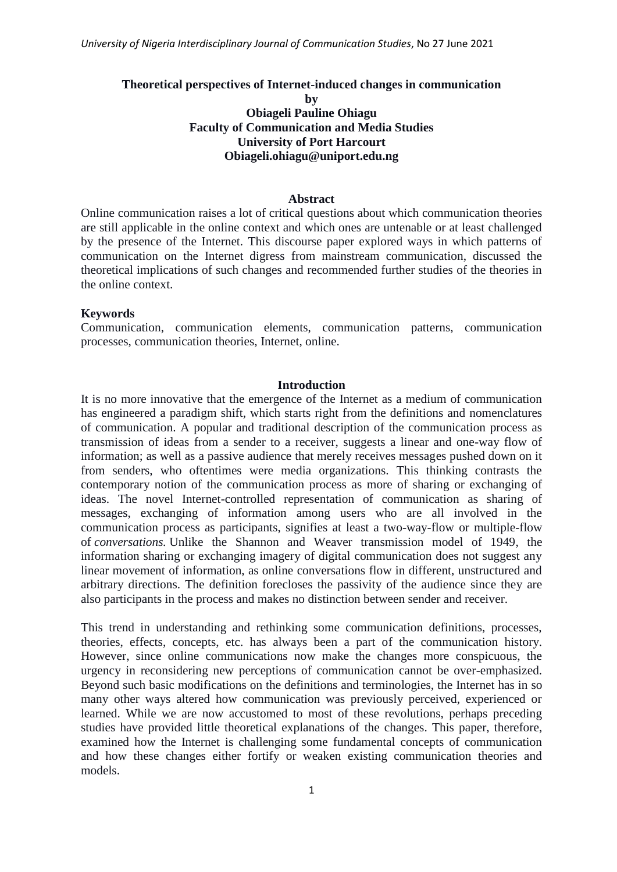### **Theoretical perspectives of Internet-induced changes in communication**

**by Obiageli Pauline Ohiagu Faculty of Communication and Media Studies University of Port Harcourt Obiageli.ohiagu@uniport.edu.ng**

#### **Abstract**

Online communication raises a lot of critical questions about which communication theories are still applicable in the online context and which ones are untenable or at least challenged by the presence of the Internet. This discourse paper explored ways in which patterns of communication on the Internet digress from mainstream communication, discussed the theoretical implications of such changes and recommended further studies of the theories in the online context.

### **Keywords**

Communication, communication elements, communication patterns, communication processes, communication theories, Internet, online.

## **Introduction**

It is no more innovative that the emergence of the Internet as a medium of communication has engineered a paradigm shift, which starts right from the definitions and nomenclatures of communication. A popular and traditional description of the communication process as transmission of ideas from a sender to a receiver, suggests a linear and one-way flow of information; as well as a passive audience that merely receives messages pushed down on it from senders, who oftentimes were media organizations. This thinking contrasts the contemporary notion of the communication process as more of sharing or exchanging of ideas. The novel Internet-controlled representation of communication as sharing of messages, exchanging of information among users who are all involved in the communication process as participants, signifies at least a two-way-flow or multiple-flow of *conversations.* Unlike the Shannon and Weaver transmission model of 1949, the information sharing or exchanging imagery of digital communication does not suggest any linear movement of information, as online conversations flow in different, unstructured and arbitrary directions. The definition forecloses the passivity of the audience since they are also participants in the process and makes no distinction between sender and receiver.

This trend in understanding and rethinking some communication definitions, processes, theories, effects, concepts, etc. has always been a part of the communication history. However, since online communications now make the changes more conspicuous, the urgency in reconsidering new perceptions of communication cannot be over-emphasized. Beyond such basic modifications on the definitions and terminologies, the Internet has in so many other ways altered how communication was previously perceived, experienced or learned. While we are now accustomed to most of these revolutions, perhaps preceding studies have provided little theoretical explanations of the changes. This paper, therefore, examined how the Internet is challenging some fundamental concepts of communication and how these changes either fortify or weaken existing communication theories and models.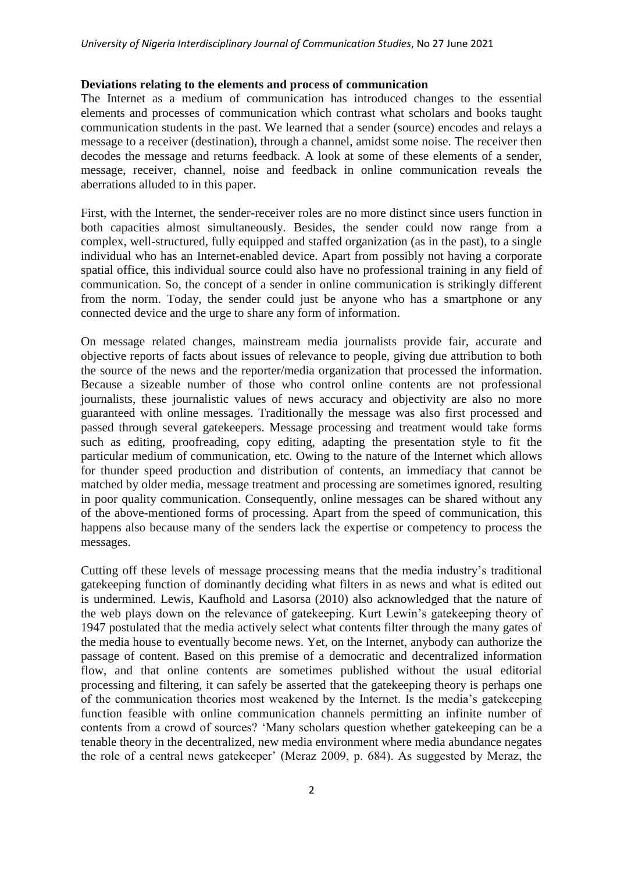### **Deviations relating to the elements and process of communication**

The Internet as a medium of communication has introduced changes to the essential elements and processes of communication which contrast what scholars and books taught communication students in the past. We learned that a sender (source) encodes and relays a message to a receiver (destination), through a channel, amidst some noise. The receiver then decodes the message and returns feedback. A look at some of these elements of a sender, message, receiver, channel, noise and feedback in online communication reveals the aberrations alluded to in this paper.

First, with the Internet, the sender-receiver roles are no more distinct since users function in both capacities almost simultaneously. Besides, the sender could now range from a complex, well-structured, fully equipped and staffed organization (as in the past), to a single individual who has an Internet-enabled device. Apart from possibly not having a corporate spatial office, this individual source could also have no professional training in any field of communication. So, the concept of a sender in online communication is strikingly different from the norm. Today, the sender could just be anyone who has a smartphone or any connected device and the urge to share any form of information.

On message related changes, mainstream media journalists provide fair, accurate and objective reports of facts about issues of relevance to people, giving due attribution to both the source of the news and the reporter/media organization that processed the information. Because a sizeable number of those who control online contents are not professional journalists, these journalistic values of news accuracy and objectivity are also no more guaranteed with online messages. Traditionally the message was also first processed and passed through several gatekeepers. Message processing and treatment would take forms such as editing, proofreading, copy editing, adapting the presentation style to fit the particular medium of communication, etc. Owing to the nature of the Internet which allows for thunder speed production and distribution of contents, an immediacy that cannot be matched by older media, message treatment and processing are sometimes ignored, resulting in poor quality communication. Consequently, online messages can be shared without any of the above-mentioned forms of processing. Apart from the speed of communication, this happens also because many of the senders lack the expertise or competency to process the messages.

Cutting off these levels of message processing means that the media industry"s traditional gatekeeping function of dominantly deciding what filters in as news and what is edited out is undermined. Lewis, Kaufhold and Lasorsa (2010) also acknowledged that the nature of the web plays down on the relevance of gatekeeping. Kurt Lewin"s gatekeeping theory of 1947 postulated that the media actively select what contents filter through the many gates of the media house to eventually become news. Yet, on the Internet, anybody can authorize the passage of content. Based on this premise of a democratic and decentralized information flow, and that online contents are sometimes published without the usual editorial processing and filtering, it can safely be asserted that the gatekeeping theory is perhaps one of the communication theories most weakened by the Internet. Is the media"s gatekeeping function feasible with online communication channels permitting an infinite number of contents from a crowd of sources? "Many scholars question whether gatekeeping can be a tenable theory in the decentralized, new media environment where media abundance negates the role of a central news gatekeeper" (Meraz 2009, p. 684). As suggested by Meraz, the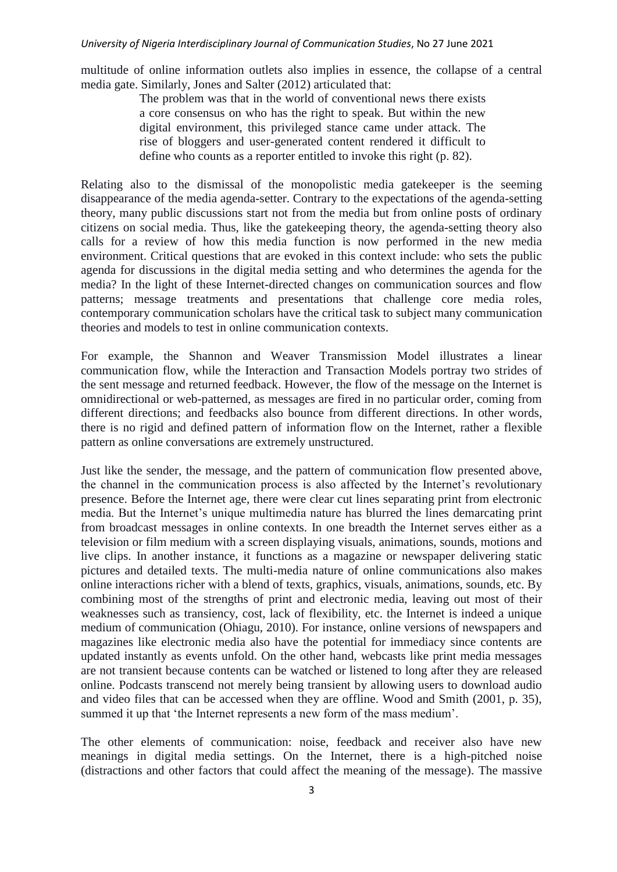multitude of online information outlets also implies in essence, the collapse of a central media gate. Similarly, Jones and Salter (2012) articulated that:

> The problem was that in the world of conventional news there exists a core consensus on who has the right to speak. But within the new digital environment, this privileged stance came under attack. The rise of bloggers and user-generated content rendered it difficult to define who counts as a reporter entitled to invoke this right (p. 82).

Relating also to the dismissal of the monopolistic media gatekeeper is the seeming disappearance of the media agenda-setter. Contrary to the expectations of the agenda-setting theory, many public discussions start not from the media but from online posts of ordinary citizens on social media. Thus, like the gatekeeping theory, the agenda-setting theory also calls for a review of how this media function is now performed in the new media environment. Critical questions that are evoked in this context include: who sets the public agenda for discussions in the digital media setting and who determines the agenda for the media? In the light of these Internet-directed changes on communication sources and flow patterns; message treatments and presentations that challenge core media roles, contemporary communication scholars have the critical task to subject many communication theories and models to test in online communication contexts.

For example, the Shannon and Weaver Transmission Model illustrates a linear communication flow, while the Interaction and Transaction Models portray two strides of the sent message and returned feedback. However, the flow of the message on the Internet is omnidirectional or web-patterned, as messages are fired in no particular order, coming from different directions; and feedbacks also bounce from different directions. In other words, there is no rigid and defined pattern of information flow on the Internet, rather a flexible pattern as online conversations are extremely unstructured.

Just like the sender, the message, and the pattern of communication flow presented above, the channel in the communication process is also affected by the Internet's revolutionary presence. Before the Internet age, there were clear cut lines separating print from electronic media. But the Internet"s unique multimedia nature has blurred the lines demarcating print from broadcast messages in online contexts. In one breadth the Internet serves either as a television or film medium with a screen displaying visuals, animations, sounds, motions and live clips. In another instance, it functions as a magazine or newspaper delivering static pictures and detailed texts. The multi-media nature of online communications also makes online interactions richer with a blend of texts, graphics, visuals, animations, sounds, etc. By combining most of the strengths of print and electronic media, leaving out most of their weaknesses such as transiency, cost, lack of flexibility, etc. the Internet is indeed a unique medium of communication (Ohiagu, 2010). For instance, online versions of newspapers and magazines like electronic media also have the potential for immediacy since contents are updated instantly as events unfold. On the other hand, webcasts like print media messages are not transient because contents can be watched or listened to long after they are released online. Podcasts transcend not merely being transient by allowing users to download audio and video files that can be accessed when they are offline. Wood and Smith (2001, p. 35), summed it up that 'the Internet represents a new form of the mass medium'.

The other elements of communication: noise, feedback and receiver also have new meanings in digital media settings. On the Internet, there is a high-pitched noise (distractions and other factors that could affect the meaning of the message). The massive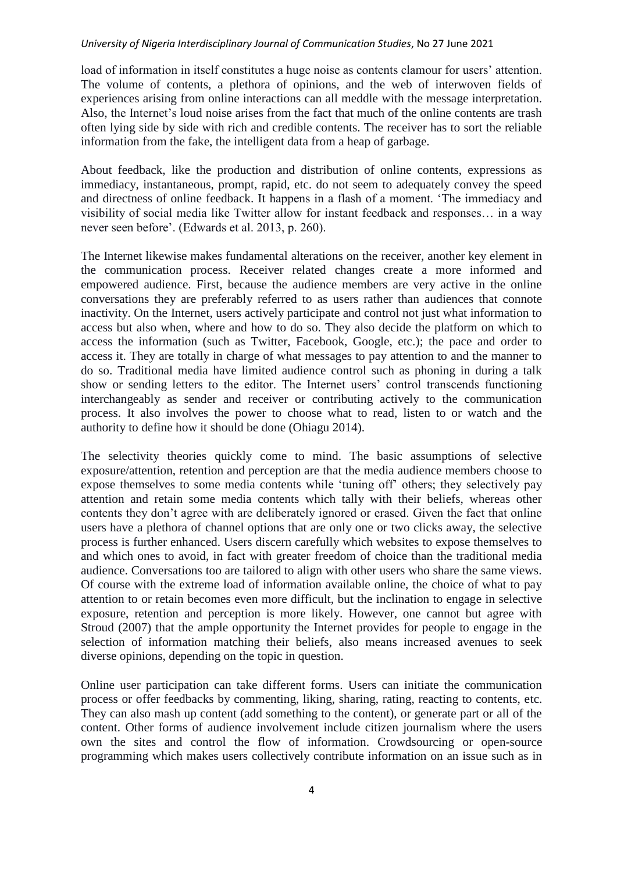load of information in itself constitutes a huge noise as contents clamour for users' attention. The volume of contents, a plethora of opinions, and the web of interwoven fields of experiences arising from online interactions can all meddle with the message interpretation. Also, the Internet's loud noise arises from the fact that much of the online contents are trash often lying side by side with rich and credible contents. The receiver has to sort the reliable information from the fake, the intelligent data from a heap of garbage.

About feedback, like the production and distribution of online contents, expressions as immediacy, instantaneous, prompt, rapid, etc. do not seem to adequately convey the speed and directness of online feedback. It happens in a flash of a moment. "The immediacy and visibility of social media like Twitter allow for instant feedback and responses… in a way never seen before". (Edwards et al. 2013, p. 260).

The Internet likewise makes fundamental alterations on the receiver, another key element in the communication process. Receiver related changes create a more informed and empowered audience. First, because the audience members are very active in the online conversations they are preferably referred to as users rather than audiences that connote inactivity. On the Internet, users actively participate and control not just what information to access but also when, where and how to do so. They also decide the platform on which to access the information (such as Twitter, Facebook, Google, etc.); the pace and order to access it. They are totally in charge of what messages to pay attention to and the manner to do so. Traditional media have limited audience control such as phoning in during a talk show or sending letters to the editor. The Internet users' control transcends functioning interchangeably as sender and receiver or contributing actively to the communication process. It also involves the power to choose what to read, listen to or watch and the authority to define how it should be done (Ohiagu 2014).

The selectivity theories quickly come to mind. The basic assumptions of selective exposure/attention, retention and perception are that the media audience members choose to expose themselves to some media contents while "tuning off" others; they selectively pay attention and retain some media contents which tally with their beliefs, whereas other contents they don"t agree with are deliberately ignored or erased. Given the fact that online users have a plethora of channel options that are only one or two clicks away, the selective process is further enhanced. Users discern carefully which websites to expose themselves to and which ones to avoid, in fact with greater freedom of choice than the traditional media audience. Conversations too are tailored to align with other users who share the same views. Of course with the extreme load of information available online, the choice of what to pay attention to or retain becomes even more difficult, but the inclination to engage in selective exposure, retention and perception is more likely. However, one cannot but agree with Stroud (2007) that the ample opportunity the Internet provides for people to engage in the selection of information matching their beliefs, also means increased avenues to seek diverse opinions, depending on the topic in question.

Online user participation can take different forms. Users can initiate the communication process or offer feedbacks by commenting, liking, sharing, rating, reacting to contents, etc. They can also mash up content (add something to the content), or generate part or all of the content. Other forms of audience involvement include citizen journalism where the users own the sites and control the flow of information. Crowdsourcing or open-source programming which makes users collectively contribute information on an issue such as in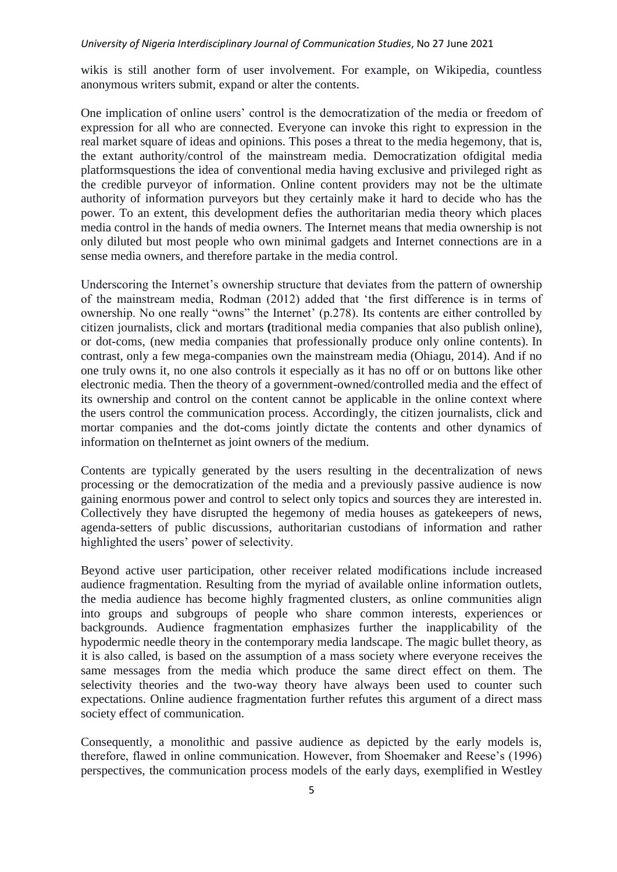wikis is still another form of user involvement. For example, on Wikipedia, countless anonymous writers submit, expand or alter the contents.

One implication of online users" control is the democratization of the media or freedom of expression for all who are connected. Everyone can invoke this right to expression in the real market square of ideas and opinions. This poses a threat to the media hegemony, that is, the extant authority/control of the mainstream media. Democratization ofdigital media platformsquestions the idea of conventional media having exclusive and privileged right as the credible purveyor of information. Online content providers may not be the ultimate authority of information purveyors but they certainly make it hard to decide who has the power. To an extent, this development defies the authoritarian media theory which places media control in the hands of media owners. The Internet means that media ownership is not only diluted but most people who own minimal gadgets and Internet connections are in a sense media owners, and therefore partake in the media control.

Underscoring the Internet's ownership structure that deviates from the pattern of ownership of the mainstream media, Rodman (2012) added that "the first difference is in terms of ownership. No one really "owns" the Internet' (p.278). Its contents are either controlled by citizen journalists, click and mortars **(**traditional media companies that also publish online), or dot-coms, (new media companies that professionally produce only online contents)*.* In contrast, only a few mega-companies own the mainstream media (Ohiagu, 2014). And if no one truly owns it, no one also controls it especially as it has no off or on buttons like other electronic media. Then the theory of a government-owned/controlled media and the effect of its ownership and control on the content cannot be applicable in the online context where the users control the communication process. Accordingly, the citizen journalists, click and mortar companies and the dot-coms jointly dictate the contents and other dynamics of information on theInternet as joint owners of the medium.

Contents are typically generated by the users resulting in the decentralization of news processing or the democratization of the media and a previously passive audience is now gaining enormous power and control to select only topics and sources they are interested in. Collectively they have disrupted the hegemony of media houses as gatekeepers of news, agenda-setters of public discussions, authoritarian custodians of information and rather highlighted the users' power of selectivity.

Beyond active user participation, other receiver related modifications include increased audience fragmentation. Resulting from the myriad of available online information outlets, the media audience has become highly fragmented clusters, as online communities align into groups and subgroups of people who share common interests, experiences or backgrounds. Audience fragmentation emphasizes further the inapplicability of the hypodermic needle theory in the contemporary media landscape. The magic bullet theory, as it is also called, is based on the assumption of a mass society where everyone receives the same messages from the media which produce the same direct effect on them. The selectivity theories and the two-way theory have always been used to counter such expectations. Online audience fragmentation further refutes this argument of a direct mass society effect of communication.

Consequently, a monolithic and passive audience as depicted by the early models is, therefore, flawed in online communication. However, from Shoemaker and Reese"s (1996) perspectives, the communication process models of the early days, exemplified in Westley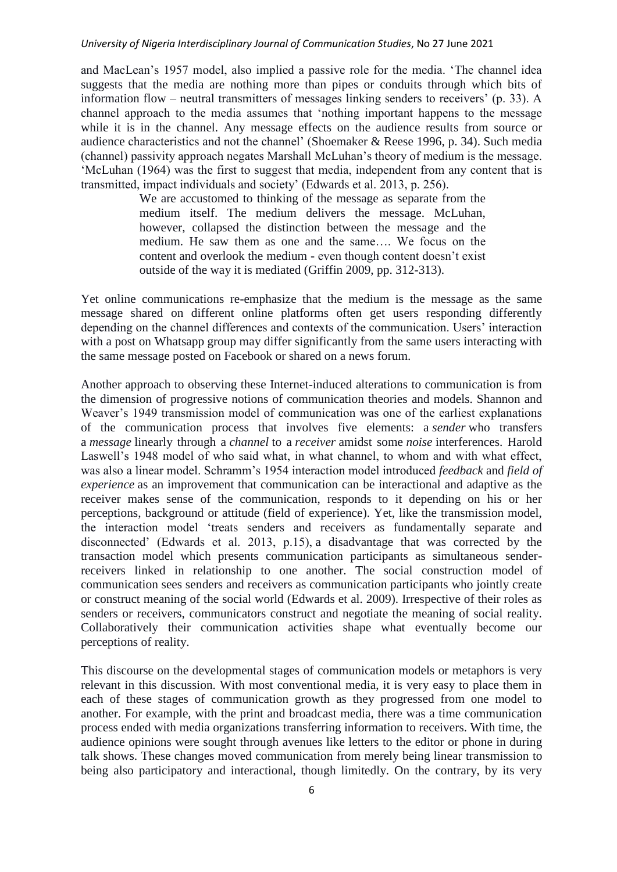and MacLean"s 1957 model, also implied a passive role for the media. "The channel idea suggests that the media are nothing more than pipes or conduits through which bits of information flow – neutral transmitters of messages linking senders to receivers' (p. 33). A channel approach to the media assumes that "nothing important happens to the message while it is in the channel. Any message effects on the audience results from source or audience characteristics and not the channel" (Shoemaker & Reese 1996, p. 34). Such media (channel) passivity approach negates Marshall McLuhan"s theory of medium is the message. "McLuhan (1964) was the first to suggest that media, independent from any content that is transmitted, impact individuals and society" (Edwards et al. 2013, p. 256).

> We are accustomed to thinking of the message as separate from the medium itself. The medium delivers the message. McLuhan, however, collapsed the distinction between the message and the medium. He saw them as one and the same…. We focus on the content and overlook the medium - even though content doesn"t exist outside of the way it is mediated (Griffin 2009, pp. 312-313).

Yet online communications re-emphasize that the medium is the message as the same message shared on different online platforms often get users responding differently depending on the channel differences and contexts of the communication. Users' interaction with a post on Whatsapp group may differ significantly from the same users interacting with the same message posted on Facebook or shared on a news forum.

Another approach to observing these Internet-induced alterations to communication is from the dimension of progressive notions of communication theories and models. Shannon and Weaver"s 1949 transmission model of communication was one of the earliest explanations of the communication process that involves five elements: a *sender* who transfers a *message* linearly through a *channel* to a *receiver* amidst some *noise* interferences. Harold Laswell's 1948 model of who said what, in what channel, to whom and with what effect, was also a linear model. Schramm"s 1954 interaction model introduced *feedback* and *field of experience* as an improvement that communication can be interactional and adaptive as the receiver makes sense of the communication, responds to it depending on his or her perceptions, background or attitude (field of experience). Yet, like the transmission model, the interaction model "treats senders and receivers as fundamentally separate and disconnected" (Edwards et al. 2013, p.15), a disadvantage that was corrected by the transaction model which presents communication participants as simultaneous senderreceivers linked in relationship to one another. The social construction model of communication sees senders and receivers as communication participants who jointly create or construct meaning of the social world (Edwards et al. 2009). Irrespective of their roles as senders or receivers, communicators construct and negotiate the meaning of social reality. Collaboratively their communication activities shape what eventually become our perceptions of reality.

This discourse on the developmental stages of communication models or metaphors is very relevant in this discussion. With most conventional media, it is very easy to place them in each of these stages of communication growth as they progressed from one model to another. For example, with the print and broadcast media, there was a time communication process ended with media organizations transferring information to receivers. With time, the audience opinions were sought through avenues like letters to the editor or phone in during talk shows. These changes moved communication from merely being linear transmission to being also participatory and interactional, though limitedly. On the contrary, by its very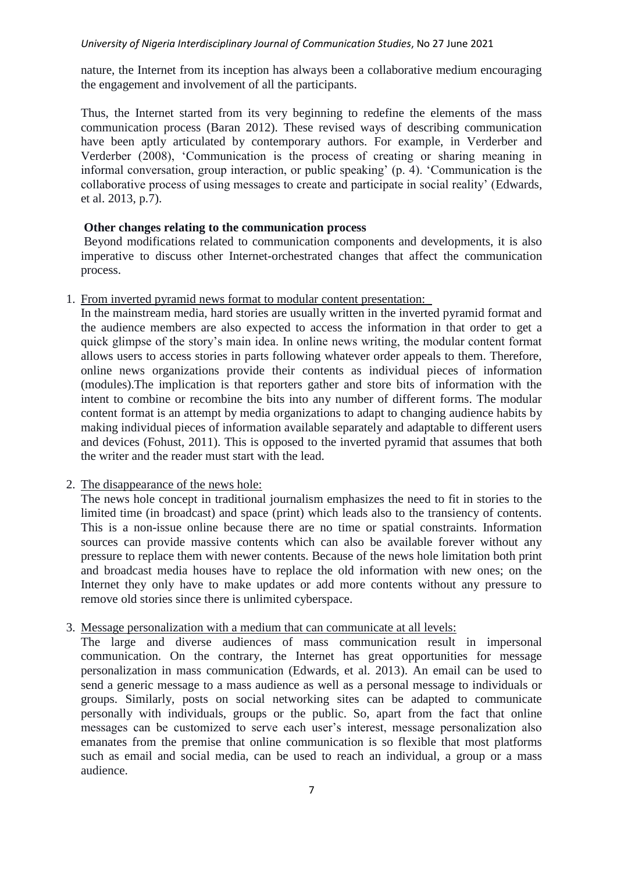nature, the Internet from its inception has always been a collaborative medium encouraging the engagement and involvement of all the participants.

Thus, the Internet started from its very beginning to redefine the elements of the mass communication process (Baran 2012). These revised ways of describing communication have been aptly articulated by contemporary authors. For example, in Verderber and Verderber (2008), "Communication is the process of creating or sharing meaning in informal conversation, group interaction, or public speaking' (p. 4). 'Communication is the collaborative process of using messages to create and participate in social reality" (Edwards, et al. 2013, p.7).

## **Other changes relating to the communication process**

Beyond modifications related to communication components and developments, it is also imperative to discuss other Internet-orchestrated changes that affect the communication process.

## 1. From inverted pyramid news format to modular content presentation:

In the mainstream media, hard stories are usually written in the inverted pyramid format and the audience members are also expected to access the information in that order to get a quick glimpse of the story"s main idea. In online news writing, the modular content format allows users to access stories in parts following whatever order appeals to them. Therefore, online news organizations provide their contents as individual pieces of information (modules).The implication is that reporters gather and store bits of information with the intent to combine or recombine the bits into any number of different forms. The modular content format is an attempt by media organizations to adapt to changing audience habits by making individual pieces of information available separately and adaptable to different users and devices (Fohust, 2011). This is opposed to the inverted pyramid that assumes that both the writer and the reader must start with the lead.

## 2. The disappearance of the news hole:

The news hole concept in traditional journalism emphasizes the need to fit in stories to the limited time (in broadcast) and space (print) which leads also to the transiency of contents. This is a non-issue online because there are no time or spatial constraints. Information sources can provide massive contents which can also be available forever without any pressure to replace them with newer contents. Because of the news hole limitation both print and broadcast media houses have to replace the old information with new ones; on the Internet they only have to make updates or add more contents without any pressure to remove old stories since there is unlimited cyberspace.

## 3. Message personalization with a medium that can communicate at all levels:

The large and diverse audiences of mass communication result in impersonal communication. On the contrary, the Internet has great opportunities for message personalization in mass communication (Edwards, et al. 2013). An email can be used to send a generic message to a mass audience as well as a personal message to individuals or groups. Similarly, posts on social networking sites can be adapted to communicate personally with individuals, groups or the public. So, apart from the fact that online messages can be customized to serve each user"s interest, message personalization also emanates from the premise that online communication is so flexible that most platforms such as email and social media, can be used to reach an individual, a group or a mass audience.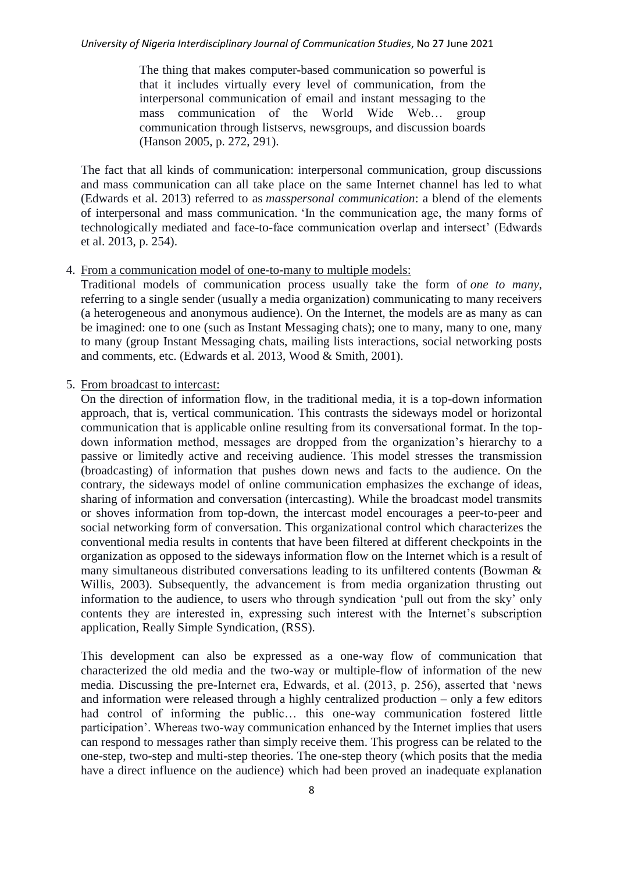The thing that makes computer-based communication so powerful is that it includes virtually every level of communication, from the interpersonal communication of email and instant messaging to the mass communication of the World Wide Web… group communication through listservs, newsgroups, and discussion boards (Hanson 2005, p. 272, 291).

The fact that all kinds of communication: interpersonal communication, group discussions and mass communication can all take place on the same Internet channel has led to what (Edwards et al. 2013) referred to as *masspersonal communication*: a blend of the elements of interpersonal and mass communication. "In the communication age, the many forms of technologically mediated and face-to-face communication overlap and intersect" (Edwards et al. 2013, p. 254).

## 4. From a communication model of one-to-many to multiple models:

Traditional models of communication process usually take the form of *one to many*, referring to a single sender (usually a media organization) communicating to many receivers (a heterogeneous and anonymous audience). On the Internet, the models are as many as can be imagined: one to one (such as Instant Messaging chats); one to many, many to one, many to many (group Instant Messaging chats, mailing lists interactions, social networking posts and comments, etc. (Edwards et al. 2013, Wood & Smith, 2001).

# 5. From broadcast to intercast:

On the direction of information flow, in the traditional media, it is a top-down information approach, that is, vertical communication. This contrasts the sideways model or horizontal communication that is applicable online resulting from its conversational format. In the topdown information method, messages are dropped from the organization"s hierarchy to a passive or limitedly active and receiving audience. This model stresses the transmission (broadcasting) of information that pushes down news and facts to the audience. On the contrary, the sideways model of online communication emphasizes the exchange of ideas, sharing of information and conversation (intercasting). While the broadcast model transmits or shoves information from top-down, the intercast model encourages a peer-to-peer and social networking form of conversation. This organizational control which characterizes the conventional media results in contents that have been filtered at different checkpoints in the organization as opposed to the sideways information flow on the Internet which is a result of many simultaneous distributed conversations leading to its unfiltered contents (Bowman & Willis, 2003). Subsequently, the advancement is from media organization thrusting out information to the audience, to users who through syndication "pull out from the sky" only contents they are interested in, expressing such interest with the Internet's subscription application, Really Simple Syndication, (RSS).

This development can also be expressed as a one-way flow of communication that characterized the old media and the two-way or multiple-flow of information of the new media. Discussing the pre-Internet era, Edwards, et al. (2013, p. 256), asserted that "news and information were released through a highly centralized production – only a few editors had control of informing the public… this one-way communication fostered little participation". Whereas two-way communication enhanced by the Internet implies that users can respond to messages rather than simply receive them. This progress can be related to the one-step, two-step and multi-step theories. The one-step theory (which posits that the media have a direct influence on the audience) which had been proved an inadequate explanation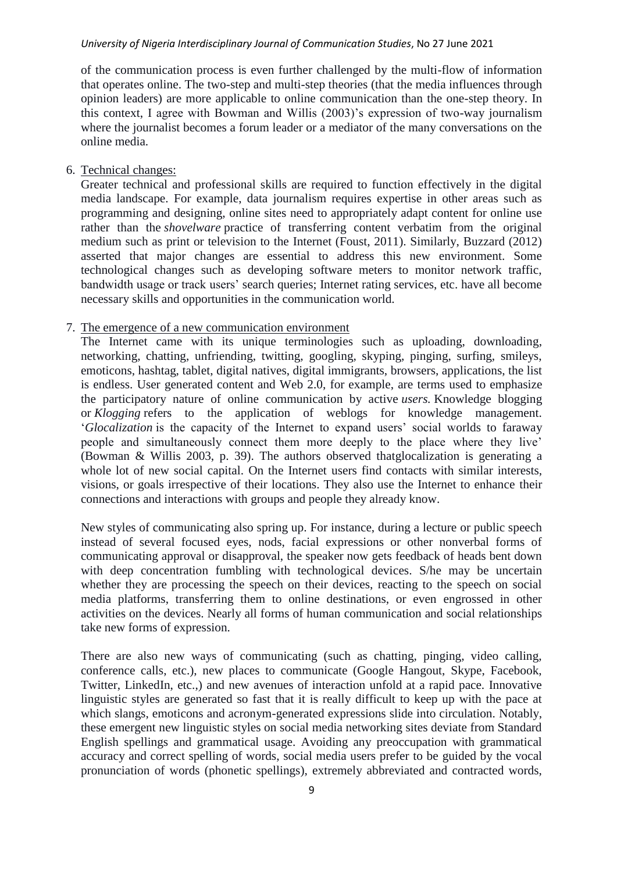of the communication process is even further challenged by the multi-flow of information that operates online. The two-step and multi-step theories (that the media influences through opinion leaders) are more applicable to online communication than the one-step theory. In this context, I agree with Bowman and Willis (2003)"s expression of two-way journalism where the journalist becomes a forum leader or a mediator of the many conversations on the online media.

### 6. Technical changes:

Greater technical and professional skills are required to function effectively in the digital media landscape. For example, data journalism requires expertise in other areas such as programming and designing, online sites need to appropriately adapt content for online use rather than the *shovelware* practice of transferring content verbatim from the original medium such as print or television to the Internet (Foust, 2011). Similarly, Buzzard (2012) asserted that major changes are essential to address this new environment. Some technological changes such as developing software meters to monitor network traffic, bandwidth usage or track users" search queries; Internet rating services, etc. have all become necessary skills and opportunities in the communication world.

## 7. The emergence of a new communication environment

The Internet came with its unique terminologies such as uploading, downloading, networking, chatting, unfriending, twitting, googling, skyping, pinging, surfing, smileys, emoticons, hashtag, tablet, digital natives, digital immigrants, browsers, applications, the list is endless. User generated content and Web 2.0, for example, are terms used to emphasize the participatory nature of online communication by active *users.* Knowledge blogging or *Klogging* refers to the application of weblogs for knowledge management. "*Glocalization* is the capacity of the Internet to expand users" social worlds to faraway people and simultaneously connect them more deeply to the place where they live' (Bowman & Willis 2003, p. 39). The authors observed thatglocalization is generating a whole lot of new social capital. On the Internet users find contacts with similar interests, visions, or goals irrespective of their locations. They also use the Internet to enhance their connections and interactions with groups and people they already know.

New styles of communicating also spring up. For instance, during a lecture or public speech instead of several focused eyes, nods, facial expressions or other nonverbal forms of communicating approval or disapproval, the speaker now gets feedback of heads bent down with deep concentration fumbling with technological devices. S/he may be uncertain whether they are processing the speech on their devices, reacting to the speech on social media platforms, transferring them to online destinations, or even engrossed in other activities on the devices. Nearly all forms of human communication and social relationships take new forms of expression.

There are also new ways of communicating (such as chatting, pinging, video calling, conference calls, etc.), new places to communicate (Google Hangout, Skype, Facebook, Twitter, LinkedIn, etc.,) and new avenues of interaction unfold at a rapid pace. Innovative linguistic styles are generated so fast that it is really difficult to keep up with the pace at which slangs, emoticons and acronym-generated expressions slide into circulation. Notably, these emergent new linguistic styles on social media networking sites deviate from Standard English spellings and grammatical usage. Avoiding any preoccupation with grammatical accuracy and correct spelling of words, social media users prefer to be guided by the vocal pronunciation of words (phonetic spellings), extremely abbreviated and contracted words,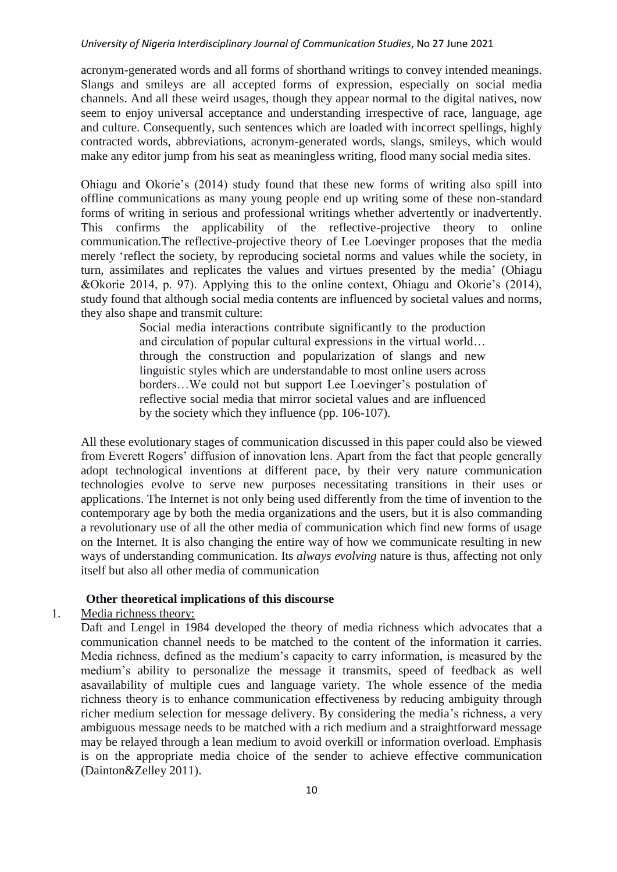acronym-generated words and all forms of shorthand writings to convey intended meanings. Slangs and smileys are all accepted forms of expression, especially on social media channels. And all these weird usages, though they appear normal to the digital natives, now seem to enjoy universal acceptance and understanding irrespective of race, language, age and culture. Consequently, such sentences which are loaded with incorrect spellings, highly contracted words, abbreviations, acronym-generated words, slangs, smileys, which would make any editor jump from his seat as meaningless writing, flood many social media sites.

Ohiagu and Okorie"s (2014) study found that these new forms of writing also spill into offline communications as many young people end up writing some of these non-standard forms of writing in serious and professional writings whether advertently or inadvertently. This confirms the applicability of the reflective-projective theory to online communication.The reflective-projective theory of Lee Loevinger proposes that the media merely "reflect the society, by reproducing societal norms and values while the society, in turn, assimilates and replicates the values and virtues presented by the media" (Ohiagu &Okorie 2014, p. 97). Applying this to the online context, Ohiagu and Okorie"s (2014), study found that although social media contents are influenced by societal values and norms, they also shape and transmit culture:

> Social media interactions contribute significantly to the production and circulation of popular cultural expressions in the virtual world… through the construction and popularization of slangs and new linguistic styles which are understandable to most online users across borders...We could not but support Lee Loevinger's postulation of reflective social media that mirror societal values and are influenced by the society which they influence (pp. 106-107).

All these evolutionary stages of communication discussed in this paper could also be viewed from Everett Rogers' diffusion of innovation lens. Apart from the fact that people generally adopt technological inventions at different pace, by their very nature communication technologies evolve to serve new purposes necessitating transitions in their uses or applications. The Internet is not only being used differently from the time of invention to the contemporary age by both the media organizations and the users, but it is also commanding a revolutionary use of all the other media of communication which find new forms of usage on the Internet. It is also changing the entire way of how we communicate resulting in new ways of understanding communication. Its *always evolving* nature is thus, affecting not only itself but also all other media of communication

### **Other theoretical implications of this discourse**

### 1. Media richness theory:

Daft and Lengel in 1984 developed the theory of media richness which advocates that a communication channel needs to be matched to the content of the information it carries. Media richness, defined as the medium"s capacity to carry information, is measured by the medium"s ability to personalize the message it transmits, speed of feedback as well asavailability of multiple cues and language variety. The whole essence of the media richness theory is to enhance communication effectiveness by reducing ambiguity through richer medium selection for message delivery. By considering the media's richness, a very ambiguous message needs to be matched with a rich medium and a straightforward message may be relayed through a lean medium to avoid overkill or information overload. Emphasis is on the appropriate media choice of the sender to achieve effective communication (Dainton&Zelley 2011).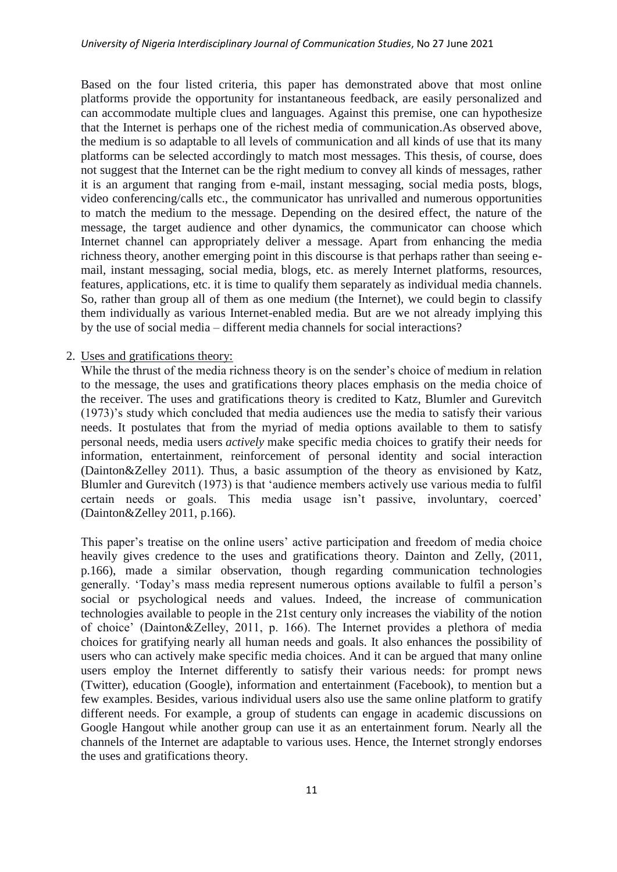Based on the four listed criteria, this paper has demonstrated above that most online platforms provide the opportunity for instantaneous feedback, are easily personalized and can accommodate multiple clues and languages. Against this premise, one can hypothesize that the Internet is perhaps one of the richest media of communication.As observed above, the medium is so adaptable to all levels of communication and all kinds of use that its many platforms can be selected accordingly to match most messages. This thesis, of course, does not suggest that the Internet can be the right medium to convey all kinds of messages, rather it is an argument that ranging from e-mail, instant messaging, social media posts, blogs, video conferencing/calls etc., the communicator has unrivalled and numerous opportunities to match the medium to the message. Depending on the desired effect, the nature of the message, the target audience and other dynamics, the communicator can choose which Internet channel can appropriately deliver a message. Apart from enhancing the media richness theory, another emerging point in this discourse is that perhaps rather than seeing email, instant messaging, social media, blogs, etc. as merely Internet platforms, resources, features, applications, etc. it is time to qualify them separately as individual media channels. So, rather than group all of them as one medium (the Internet), we could begin to classify them individually as various Internet-enabled media. But are we not already implying this by the use of social media – different media channels for social interactions?

### 2. Uses and gratifications theory:

While the thrust of the media richness theory is on the sender's choice of medium in relation to the message, the uses and gratifications theory places emphasis on the media choice of the receiver. The uses and gratifications theory is credited to Katz, Blumler and Gurevitch (1973)"s study which concluded that media audiences use the media to satisfy their various needs. It postulates that from the myriad of media options available to them to satisfy personal needs, media users *actively* make specific media choices to gratify their needs for information, entertainment, reinforcement of personal identity and social interaction (Dainton&Zelley 2011). Thus, a basic assumption of the theory as envisioned by Katz, Blumler and Gurevitch (1973) is that "audience members actively use various media to fulfil certain needs or goals. This media usage isn't passive, involuntary, coerced' (Dainton&Zelley 2011, p.166).

This paper's treatise on the online users' active participation and freedom of media choice heavily gives credence to the uses and gratifications theory. Dainton and Zelly, (2011, p.166), made a similar observation, though regarding communication technologies generally. "Today"s mass media represent numerous options available to fulfil a person"s social or psychological needs and values. Indeed, the increase of communication technologies available to people in the 21st century only increases the viability of the notion of choice" (Dainton&Zelley, 2011, p. 166). The Internet provides a plethora of media choices for gratifying nearly all human needs and goals. It also enhances the possibility of users who can actively make specific media choices. And it can be argued that many online users employ the Internet differently to satisfy their various needs: for prompt news (Twitter), education (Google), information and entertainment (Facebook), to mention but a few examples. Besides, various individual users also use the same online platform to gratify different needs. For example, a group of students can engage in academic discussions on Google Hangout while another group can use it as an entertainment forum. Nearly all the channels of the Internet are adaptable to various uses. Hence, the Internet strongly endorses the uses and gratifications theory.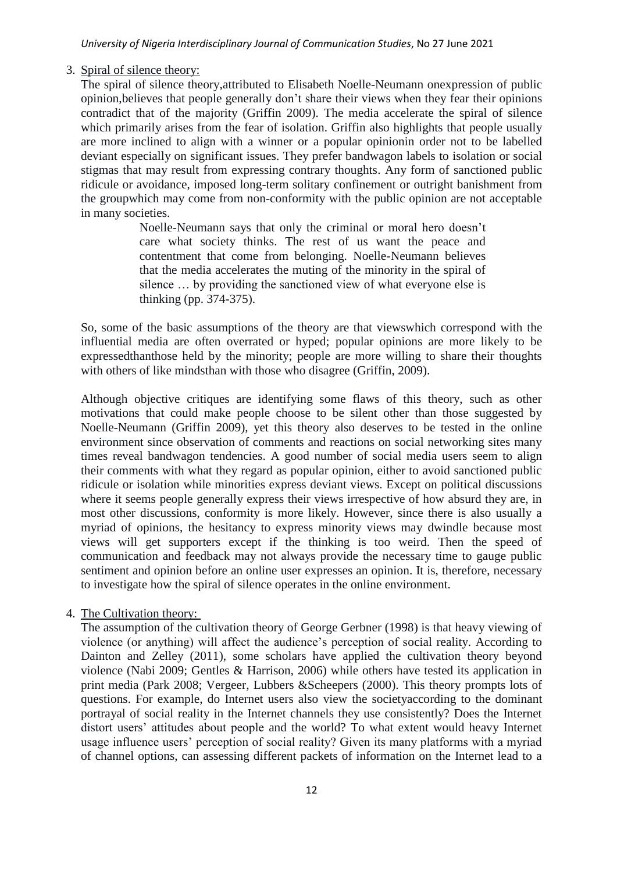# 3. Spiral of silence theory:

The spiral of silence theory,attributed to Elisabeth Noelle-Neumann onexpression of public opinion,believes that people generally don"t share their views when they fear their opinions contradict that of the majority (Griffin 2009). The media accelerate the spiral of silence which primarily arises from the fear of isolation. Griffin also highlights that people usually are more inclined to align with a winner or a popular opinionin order not to be labelled deviant especially on significant issues. They prefer bandwagon labels to isolation or social stigmas that may result from expressing contrary thoughts. Any form of sanctioned public ridicule or avoidance, imposed long-term solitary confinement or outright banishment from the groupwhich may come from non-conformity with the public opinion are not acceptable in many societies.

> Noelle-Neumann says that only the criminal or moral hero doesn"t care what society thinks. The rest of us want the peace and contentment that come from belonging. Noelle-Neumann believes that the media accelerates the muting of the minority in the spiral of silence … by providing the sanctioned view of what everyone else is thinking (pp. 374-375).

So, some of the basic assumptions of the theory are that viewswhich correspond with the influential media are often overrated or hyped; popular opinions are more likely to be expressedthanthose held by the minority; people are more willing to share their thoughts with others of like mindsthan with those who disagree (Griffin, 2009).

Although objective critiques are identifying some flaws of this theory, such as other motivations that could make people choose to be silent other than those suggested by Noelle-Neumann (Griffin 2009), yet this theory also deserves to be tested in the online environment since observation of comments and reactions on social networking sites many times reveal bandwagon tendencies. A good number of social media users seem to align their comments with what they regard as popular opinion, either to avoid sanctioned public ridicule or isolation while minorities express deviant views. Except on political discussions where it seems people generally express their views irrespective of how absurd they are, in most other discussions, conformity is more likely. However, since there is also usually a myriad of opinions, the hesitancy to express minority views may dwindle because most views will get supporters except if the thinking is too weird. Then the speed of communication and feedback may not always provide the necessary time to gauge public sentiment and opinion before an online user expresses an opinion. It is, therefore, necessary to investigate how the spiral of silence operates in the online environment.

## 4. The Cultivation theory:

The assumption of the cultivation theory of George Gerbner (1998) is that heavy viewing of violence (or anything) will affect the audience"s perception of social reality. According to Dainton and Zelley (2011), some scholars have applied the cultivation theory beyond violence (Nabi 2009; Gentles & Harrison, 2006) while others have tested its application in print media (Park 2008; Vergeer, Lubbers &Scheepers (2000). This theory prompts lots of questions. For example, do Internet users also view the societyaccording to the dominant portrayal of social reality in the Internet channels they use consistently? Does the Internet distort users' attitudes about people and the world? To what extent would heavy Internet usage influence users' perception of social reality? Given its many platforms with a myriad of channel options, can assessing different packets of information on the Internet lead to a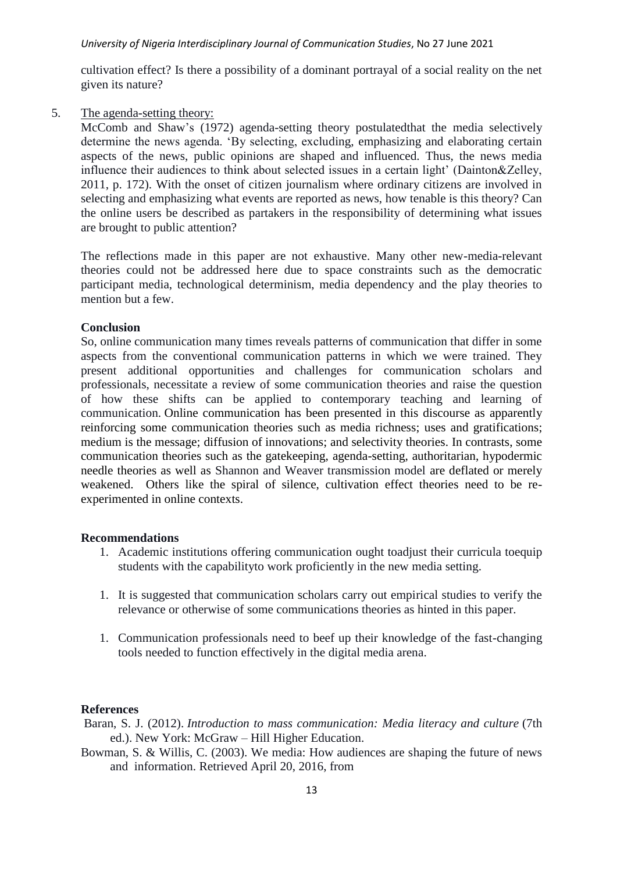cultivation effect? Is there a possibility of a dominant portrayal of a social reality on the net given its nature?

5. The agenda-setting theory:

McComb and Shaw"s (1972) agenda-setting theory postulatedthat the media selectively determine the news agenda. "By selecting, excluding, emphasizing and elaborating certain aspects of the news, public opinions are shaped and influenced. Thus, the news media influence their audiences to think about selected issues in a certain light" (Dainton&Zelley, 2011, p. 172). With the onset of citizen journalism where ordinary citizens are involved in selecting and emphasizing what events are reported as news, how tenable is this theory? Can the online users be described as partakers in the responsibility of determining what issues are brought to public attention?

The reflections made in this paper are not exhaustive. Many other new-media-relevant theories could not be addressed here due to space constraints such as the democratic participant media, technological determinism, media dependency and the play theories to mention but a few.

### **Conclusion**

So, online communication many times reveals patterns of communication that differ in some aspects from the conventional communication patterns in which we were trained. They present additional opportunities and challenges for communication scholars and professionals, necessitate a review of some communication theories and raise the question of how these shifts can be applied to contemporary teaching and learning of communication. Online communication has been presented in this discourse as apparently reinforcing some communication theories such as media richness; uses and gratifications; medium is the message; diffusion of innovations; and selectivity theories. In contrasts, some communication theories such as the gatekeeping, agenda-setting, authoritarian, hypodermic needle theories as well as Shannon and Weaver transmission model are deflated or merely weakened. Others like the spiral of silence, cultivation effect theories need to be reexperimented in online contexts.

#### **Recommendations**

- 1. Academic institutions offering communication ought toadjust their curricula toequip students with the capabilityto work proficiently in the new media setting.
- 1. It is suggested that communication scholars carry out empirical studies to verify the relevance or otherwise of some communications theories as hinted in this paper.
- 1. Communication professionals need to beef up their knowledge of the fast-changing tools needed to function effectively in the digital media arena.

#### **References**

- Baran, S. J. (2012). *Introduction to mass communication: Media literacy and culture* (7th ed.). New York: McGraw – Hill Higher Education.
- Bowman, S. & Willis, C. (2003). We media: How audiences are shaping the future of news and information. Retrieved April 20, 2016, from